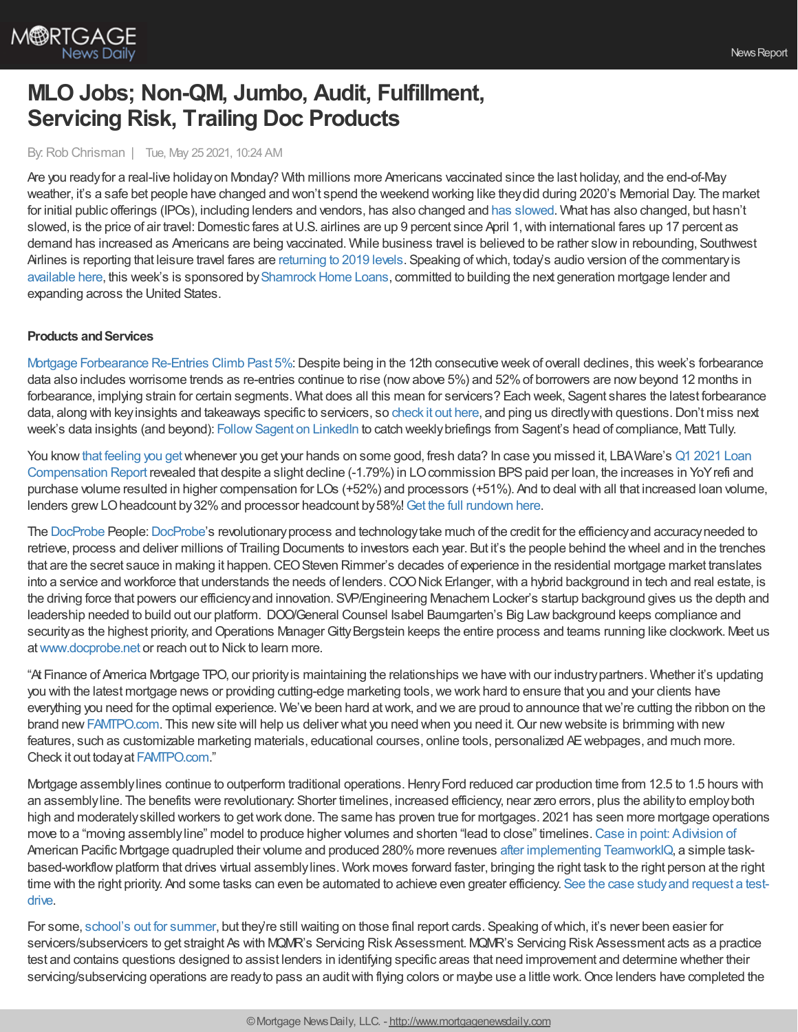

# **MLO Jobs; Non-QM, Jumbo, Audit, Fulfillment, Servicing Risk, Trailing Doc Products**

## By:Rob Chrisman | Tue, May 25 2021, 10:24 AM

Are you readyfor a real-live holidayon Monday? With millions more Americans vaccinated since the last holiday, and the end-of-May weather, it's a safe bet people have changed and won't spend the weekend working like theydid during 2020's Memorial Day. The market for initial public offerings (IPOs), including lenders and vendors, has also changed and has [slowed](https://www.law360.com/capitalmarkets/articles/1386947/once-sizzling-ipo-market-starts-to-show-cracks?). What has also changed, but hasn't slowed, is the price of air travel: Domestic fares at U.S. airlines are up 9 percent since April 1, with international fares up 17 percent as demand has increased as Americans are being vaccinated. While business travel is believed to be rather slowin rebounding, Southwest Airlines is reporting that leisure travel fares are [returning](https://www.cnbc.com/2021/05/23/covid-travel-rising-airfares-and-hotel-rates-are-making-vacations-more-expensive.html) to 2019 levels. Speaking ofwhich, today's audio version of the commentaryis [available](https://linktr.ee/dailymortgagenews) here, this week's is sponsored by Shamrock Home Loans, committed to building the next generation mortgage lender and expanding across the United States.

## **Products and Services**

Mortgage [Forbearance](https://sagent.com/2021/05/24/mortgage-forbearance-re-entries-climb-past-5) Re-Entries Climb Past 5%:Despite being in the 12th consecutive week of overall declines, this week's forbearance data also includes worrisome trends as re-entries continue to rise (now above 5%) and 52% of borrowers are now beyond 12 months in forbearance, implying strain for certain segments. What does all this mean for servicers? Each week, Sagent shares the latest forbearance data, along with key insights and takeaways specific to servicers, so [check](https://sagent.com/2021/05/24/mortgage-forbearance-re-entries-climb-past-5) it out here, and ping us directly with questions. Don't miss next week's data insights (and beyond): Follow Sagent on LinkedIn to catch weekly briefings from Sagent's head of compliance, Matt Tully.

You know that [feeling](https://giphy.com/gifs/funny-seinfeld-yay-hZj44bR9FVI3K) you get whenever you get your hands on some good, fresh data? In case you missed it, LBAWare's Q1 2021 Loan Compensation Report revealed that despite a slight decline (-1.79%) in LO commission BPS paid per loan, the increases in YoY refi and purchase volume resulted in higher compensation for LOs (+52%) and processors (+51%). And to deal with all that increased loan volume, lenders grew LO headcount by 32% and processor headcount by 58%! Get the full [rundown](https://bit.ly/3wnvIux) here.

The [DocProbe](https://bit.ly/3bPCNwn) People: [DocProbe'](https://bit.ly/3bPCNwn)s revolutionary process and technology take much of the credit for the efficiency and accuracy needed to retrieve, process and deliver millions of Trailing Documents to investors each year. But it's the people behind the wheel and in the trenches that are the secret sauce in making it happen. CEO Steven Rimmer's decades of experience in the residential mortgage market translates into a service and workforce that understands the needs of lenders. COO Nick Erlanger, with a hybrid background in tech and real estate, is the driving force that powers our efficiencyand innovation. SVP/Engineering Menachem Locker's startup background gives us the depth and leadership needed to build out our platform. DOO/General Counsel Isabel Baumgarten's Big Lawbackground keeps compliance and security as the highest priority, and Operations Manager Gitty Bergstein keeps the entire process and teams running like clockwork. Meet us at[www.docprobe.net](https://bit.ly/3bPCNwn) or reach out to Nick to learn more.

"At Finance of America Mortgage TPO, our priorityis maintaining the relationships we have with our industrypartners. Whether it's updating you with the latest mortgage news or providing cutting-edge marketing tools, we work hard to ensure that you and your clients have everything you need for the optimal experience. We've been hard at work, and we are proud to announce that we're cutting the ribbon on the brand new [FAMTPO.com](https://famtpo.com/). This new site will help us deliver what you need when you need it. Our new website is brimming with new features, such as customizable marketing materials, educational courses, online tools, personalized AEwebpages, and much more. Check it out todayat [FAMTPO.com](https://famtpo.com/)."

Mortgage assembly lines continue to outperform traditional operations. Henry Ford reduced car production time from 12.5 to 1.5 hours with an assemblyline. The benefits were revolutionary: Shorter timelines, increased efficiency, near zero errors, plus the abilityto employboth high and moderatelyskilled workers to getwork done. The same has proven true for mortgages. 2021 has seen more mortgage operations move to a "moving assembly line" model to produce higher volumes and shorten "lead to close" timelines. Case in point: [Adivision](https://teamworkiq.com/american-pacific-mortgage-case-study/?utm_campaign=mortgage&utm_source=robchrisman.com&utm_content=assembly_lines_continue_to_outperform) of American Pacific Mortgage quadrupled their volume and produced 280% more revenues after [implementing](https://teamworkiq.com/american-pacific-mortgage-case-study/?utm_campaign=mortgage&utm_source=robchrisman.com&utm_content=assembly_lines_continue_to_outperform) TeamworkIQ, a simple taskbased-workflow platform that drives virtual assembly lines. Work moves forward faster, bringing the right task to the right person at the right time with the right priority. And some tasks can even be [automated](https://teamworkiq.com/american-pacific-mortgage-case-study/?utm_campaign=mortgage&utm_source=robchrisman.com&utm_content=assembly_lines_continue_to_outperform) to achieve even greater efficiency. See the case studyand request a testdrive.

For some, school's out for [summer,](https://www.youtube.com/watch?v=gcVEhtojXlc) but they're still waiting on those final report cards. Speaking of which, it's never been easier for servicers/subservicers to get straight As with MQMR's Servicing Risk Assessment. MQMR's Servicing Risk Assessment acts as a practice test and contains questions designed to assist lenders in identifying specific areas that need improvement and determine whether their servicing/subservicing operations are ready to pass an audit with flying colors or maybe use a little work. Once lenders have completed the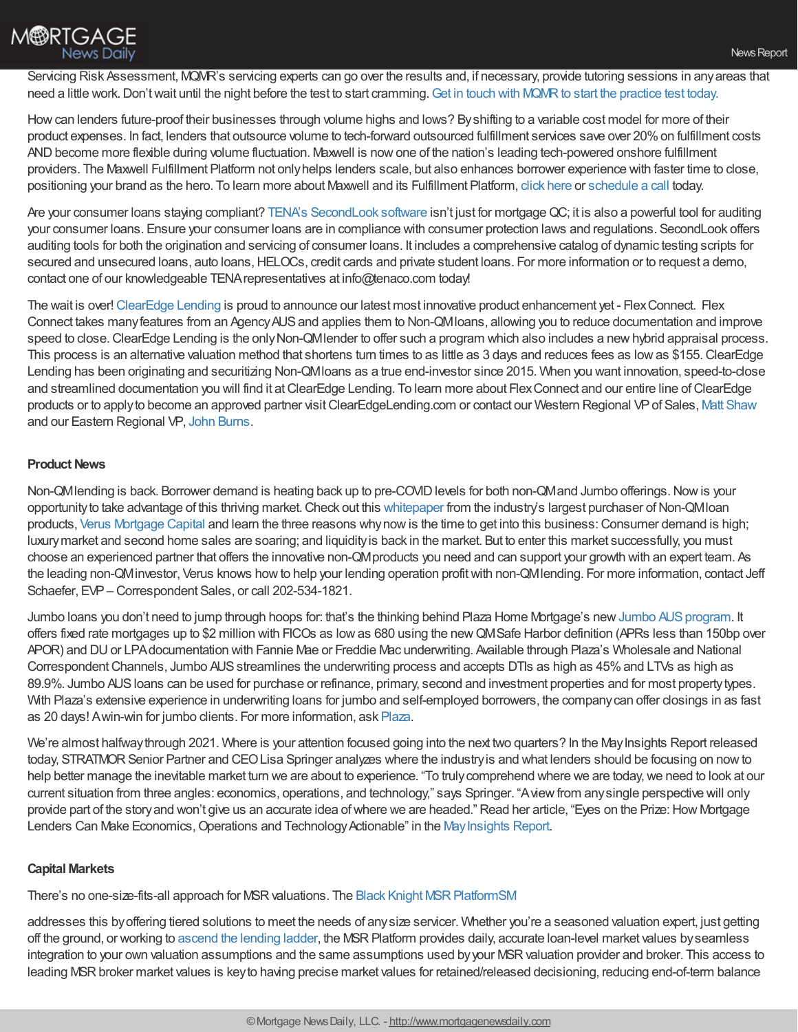

Servicing Risk Assessment, MQMR's servicing experts can go over the results and, if necessary, provide tutoring sessions in any areas that need a little work. Don't wait until the night before the test to start cramming. Get in touch with MQMR to start the practice test today.

Howcan lenders future-proof their businesses through volume highs and lows? Byshifting to a variable cost model for more of their product expenses. In fact, lenders that outsource volume to tech-forward outsourced fulfillment services save over 20%on fulfillment costs ANDbecome more flexible during volume fluctuation. Maxwell is nowone of the nation's leading tech-powered onshore fulfillment providers. The Maxwell Fulfillment Platform not onlyhelps lenders scale, but also enhances borrower experience with faster time to close, positioning your brand as the hero. To learn more about Maxwell and its Fulfillment Platform, click [here](https://himaxwell.com/services?utm_source=RC&utm_medium=RC_CTA) or [schedule](https://himaxwell.com/request-a-demo2?utm_source=RC&utm_medium=RC_CTA) a call today.

Are your consumer loans staying compliant? TENA's [SecondLook](https://www.tenaco.com/secondlook-software/) software isn't just for mortgage QC; it is also a powerful tool for auditing your consumer loans. Ensure your consumer loans are in compliance with consumer protection laws and regulations. SecondLook offers auditing tools for both the origination and servicing of consumer loans. It includes a comprehensive catalog of dynamic testing scripts for secured and unsecured loans, auto loans, HELOCs, credit cards and private student loans. For more information or to request a demo, contact one of our knowledgeable TENArepresentatives at info@tenaco.com today!

The wait is over![ClearEdge](https://clearedgelending.com/) Lending is proud to announce our latest most innovative product enhancement yet - FlexConnect. Flex Connect takes manyfeatures from an AgencyAUSand applies them to Non-QMloans, allowing you to reduce documentation and improve speed to close. ClearEdge Lending is the only Non-QMIender to offer such a program which also includes a new hybrid appraisal process. This process is an alternative valuation method that shortens turn times to as little as 3 days and reduces fees as lowas \$155.ClearEdge Lending has been originating and securitizing Non-QMloans as a true end-investor since 2015. When you want innovation, speed-to-close and streamlined documentation you will find it atClearEdge Lending. To learn more about FlexConnect and our entire line ofClearEdge products or to apply to become an approved partner visit ClearEdgeLending.com or contact our Western Regional VP of Sales, Matt [Shaw](http://%3Ca%20href%253Dmailto:mshaw@clearedgelending.com/?subject=Chrisman%20Inquiry%253eMatt%20Shaw%253c/a%253e) and our Eastern Regional VP, John [Burns](http://%3Ca%20href%253Dmailto:jburns@clearedgelending.com/?subject=Chrisman%20Inquiry%253eJohn%20Burns%253c/a%253e).

# **Product News**

Non-QMIending is back. Borrower demand is heating back up to pre-COVID levels for both non-QMand Jumbo offerings. Now is your opportunity to take advantage of this thriving market. Check out this [whitepaper](https://verusmc.com/2021/05/11/profiting-from-the-boom-in-non-qm-lending/) from the industry's largest purchaser of Non-QMIoan products, Verus [Mortgage](https://verusmc.com/) Capital and learn the three reasons whynowis the time to get into this business:Consumer demand is high; luxurymarket and second home sales are soaring; and liquidityis back in the market. But to enter this market successfully, you must choose an experienced partner that offers the innovative non-QMproducts you need and can support your growth with an expert team. As the leading non-QMinvestor, Verus knows how to help your lending operation profit with non-QMIending. For more information, contact Jeff Schaefer, EVP– Correspondent Sales, or call 202-534-1821.

Jumbo loans you don't need to jump through hoops for: that's the thinking behind Plaza Home Mortgage's new Jumbo AUS program. It offers fixed rate mortgages up to \$2 million with FICOs as lowas 680 using the newQMSafe Harbor definition (APRs less than 150bp over APOR) and DU or LPA documentation with Fannie Mae or Freddie Mac underwriting. Available through Plaza's Wholesale and National Correspondent Channels, Jumbo AUS streamlines the underwriting process and accepts DTIs as high as 45% and LTVs as high as 89.9%. Jumbo AUSloans can be used for purchase or refinance, primary, second and investment properties and for most propertytypes. With Plaza's extensive experience in underwriting loans for jumbo and self-employed borrowers, the company can offer closings in as fast as 20 days! Awin-win for jumbo clients. For more information, ask [Plaza](https://hubs.ly/H0Ny9l-0).

We're almost halfway through 2021. Where is your attention focused going into the next two quarters? In the May Insights Report released today, STRATMOR Senior Partner and CEO Lisa Springer analyzes where the industry is and what lenders should be focusing on now to help better manage the inevitable market turn we are about to experience. "To truly comprehend where we are today, we need to look at our current situation from three angles: economics, operations, and technology," says Springer. "Aviewfrom anysingle perspective will only provide part of the story and won't give us an accurate idea of where we are headed." Read her article, "Eyes on the Prize: How Mortgage Lenders Can Make Economics, Operations and Technology Actionable" in the May Insights Report.

## **Capital Markets**

There's no one-size-fits-all approach for MSR valuations. The Black Knight MSR PlatformSM

addresses this byoffering tiered solutions to meet the needs of anysize servicer. Whether you're a seasoned valuation expert, just getting off the ground, or working to [ascend](https://optimalblue.wistia.com/medias/cqm50hv3iz) the lending ladder, the MSR Platform provides daily, accurate loan-level market values by seamless integration to your own valuation assumptions and the same assumptions used by your MSR valuation provider and broker. This access to leading MSR broker market values is key to having precise market values for retained/released decisioning, reducing end-of-term balance